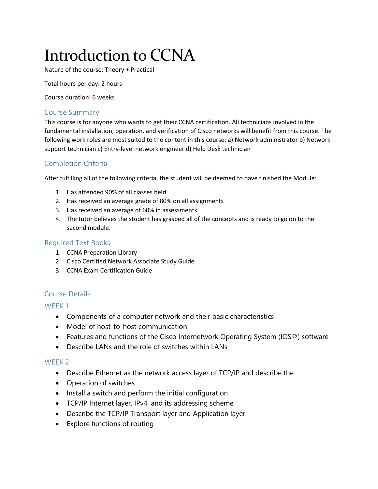# Introduction to CCNA

Nature of the course: Theory + Practical

Total hours per day: 2 hours

Course duration: 6 weeks

## Course Summary

This course is for anyone who wants to get their CCNA certification. All technicians involved in the fundamental installation, operation, and verification of Cisco networks will benefit from this course. The following work roles are most suited to the content in this course: a) Network administrator b) Network support technician c) Entry-level network engineer d) Help Desk technician

# Completion Criteria

After fulfilling all of the following criteria, the student will be deemed to have finished the Module:

- 1. Has attended 90% of all classes held
- 2. Has received an average grade of 80% on all assignments
- 3. Has received an average of 60% in assessments
- 4. The tutor believes the student has grasped all of the concepts and is ready to go on to the second module.

## Required Text Books

- 1. CCNA Preparation Library
- 2. Cisco Certified Network Associate Study Guide
- 3. CCNA Exam Certification Guide

## Course Details

#### WEEK<sub>1</sub>

- Components of a computer network and their basic characteristics
- Model of host-to-host communication
- Features and functions of the Cisco Internetwork Operating System (IOS®) software
- Describe LANs and the role of switches within LANs

#### WEEK 2

- Describe Ethernet as the network access layer of TCP/IP and describe the
- Operation of switches
- Install a switch and perform the initial configuration
- TCP/IP Internet layer, IPv4, and its addressing scheme
- Describe the TCP/IP Transport layer and Application layer
- Explore functions of routing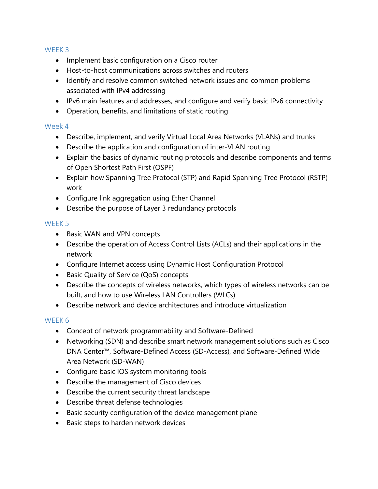## WEEK 3

- Implement basic configuration on a Cisco router
- Host-to-host communications across switches and routers
- Identify and resolve common switched network issues and common problems associated with IPv4 addressing
- IPv6 main features and addresses, and configure and verify basic IPv6 connectivity
- Operation, benefits, and limitations of static routing

# Week 4

- Describe, implement, and verify Virtual Local Area Networks (VLANs) and trunks
- Describe the application and configuration of inter-VLAN routing
- Explain the basics of dynamic routing protocols and describe components and terms of Open Shortest Path First (OSPF)
- Explain how Spanning Tree Protocol (STP) and Rapid Spanning Tree Protocol (RSTP) work
- Configure link aggregation using Ether Channel
- Describe the purpose of Layer 3 redundancy protocols

# WFFK<sub>5</sub>

- Basic WAN and VPN concepts
- Describe the operation of Access Control Lists (ACLs) and their applications in the network
- Configure Internet access using Dynamic Host Configuration Protocol
- Basic Quality of Service (QoS) concepts
- Describe the concepts of wireless networks, which types of wireless networks can be built, and how to use Wireless LAN Controllers (WLCs)
- Describe network and device architectures and introduce virtualization

# WEEK 6

- Concept of network programmability and Software-Defined
- Networking (SDN) and describe smart network management solutions such as Cisco DNA Center™, Software-Defined Access (SD-Access), and Software-Defined Wide Area Network (SD-WAN)
- Configure basic IOS system monitoring tools
- Describe the management of Cisco devices
- Describe the current security threat landscape
- Describe threat defense technologies
- Basic security configuration of the device management plane
- **•** Basic steps to harden network devices